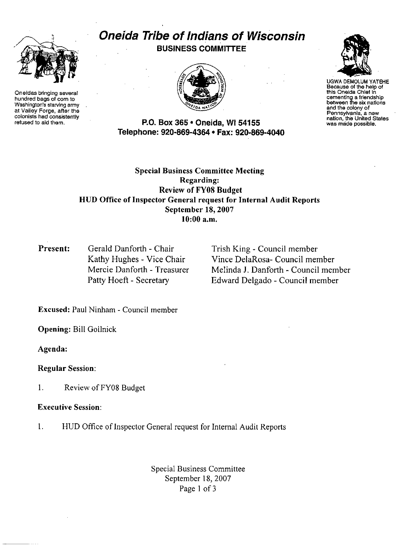

Oneidas bringing several hundred bags of corn to Washington's starving army at Valley Forge, after the colonists had consistently refused to aid them.

# Oneida Tribe of Indians of Wisconsin BUSINESS COMMITTEE



P.O. Box 365 · Oneida, WI 54155 Telephone: 920-869-4364 • Fax: 920-869-4040



UGWA DEMOLUM YATEHE Because of the help of this Oneida ChIef in cementing a friendshIp between the six nations and the colony of Pennsylvania, a new nation, the United States was made possible.

Special Business Committee Meeting Regarding: Review of FY08 Budget HUD Office of Inspector General request for Internal Audit Reports September 18, 2007 10:00 a.m,

Present: Gerald Danforth - Chair Kathy Hughes - Vice Chair Mercie Danforth - Treasurer Patty Hoeft - Secretary

Trish King - Council member Vince DelaRosa- Council member Melinda J. Danforth - Council member Edward Delgado - Council member

Excused: Paul Ninham - Council member

Opening: Bill Gollnick

Agenda:

Regular Session:

1. Review of FY08 Budget

#### Executive Session:

I. HUD Office of Inspector General request for Internal Audit Reports

Special Business Committee September 18, 2007 Page I of 3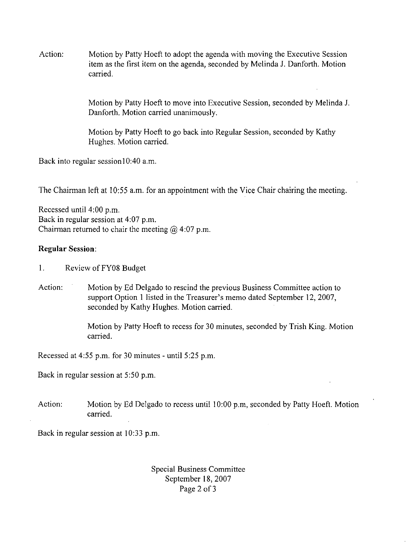Action: Motion by Patty Hoeft to adopt the agenda with moving the Executive Session item as the first item on the agenda, seconded by Melinda J. Danforth. Motion carried.

> Motion by Patty Hoeft to move into Executive Session, seconded by Melinda J. Danforth. Motion carried unanimously.

Motion by Patty Hoeft to go back into Regular Session, seconded by Kathy Hughes. Motion carried.

Back into regular session10:40 a.m.

The Chairman left at 10:55 a.m. for an appointment with the Vice Chair chairing the meeting.

Recessed until 4:00 p.m. Back in regular session at 4:07 p.m. Chairman returned to chair the meeting  $\omega$  4:07 p.m.

#### **Regular Session:**

I. Review of FY08 Budget

Action: Motion by Ed Delgado to rescind the previous Business Committee action to support Option 1 listed in the Treasurer's memo dated September 12,2007, seconded by Kathy Hughes. Motion carried.

> Motion by Patly Hoeft to recess for 30 minutes, seconded by Trish King. Motion carried.

Recessed at 4:55 p.m. for 30 minutes - until 5:25 p.m.

Back in regular session at 5:50 p.m.

Action: Motion by Ed Delgado to recess until 10:00 p.m, seconded by Patty Hoeft. Motion carried.

Back in regular session at 10:33 p.m.

Special Business Committee September 18, 2007 Page 2 of 3